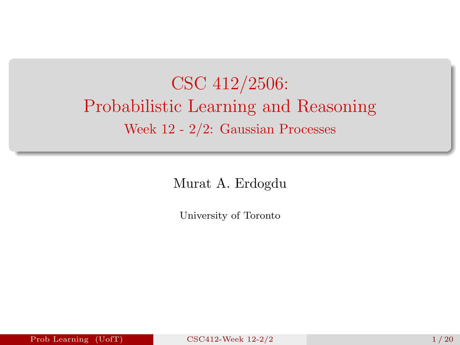# <span id="page-0-0"></span>CSC 412/2506: Probabilistic Learning and Reasoning Week 12 - 2/2: Gaussian Processes

Murat A. Erdogdu

University of Toronto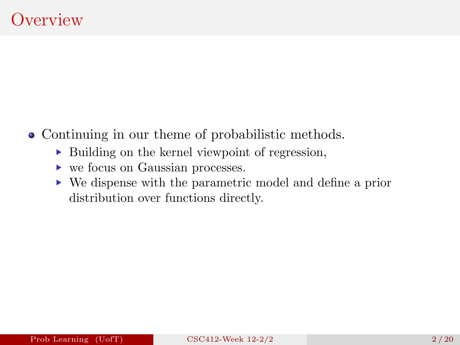- Continuing in our theme of probabilistic methods.
	- ▶ Building on the kernel viewpoint of regression,
	- ▶ we focus on Gaussian processes.
	- ▶ We dispense with the parametric model and define a prior distribution over functions directly.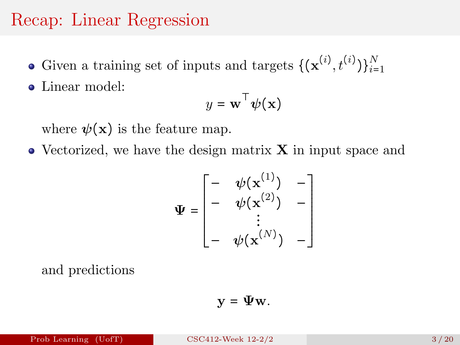#### Recap: Linear Regression

- Given a training set of inputs and targets  $\{(\mathbf{x}^{(i)}, t^{(i)})\}_{i=1}^N$
- Linear model:

$$
y = \mathbf{w}^\top \boldsymbol{\psi}(\mathbf{x})
$$

where  $\psi(\mathbf{x})$  is the feature map.

 $\bullet$  Vectorized, we have the design matrix **X** in input space and

$$
\Psi = \begin{bmatrix} - & \psi(\mathbf{x}^{(1)}) & - \\ - & \psi(\mathbf{x}^{(2)}) & - \\ \vdots & \vdots & \vdots \\ - & \psi(\mathbf{x}^{(N)}) & - \end{bmatrix}
$$

and predictions

$$
\mathbf{y} = \mathbf{\Psi} \mathbf{w}.
$$

Prob Learning (UofT)  $CSC412$ -Week  $12-2/2$   $3/20$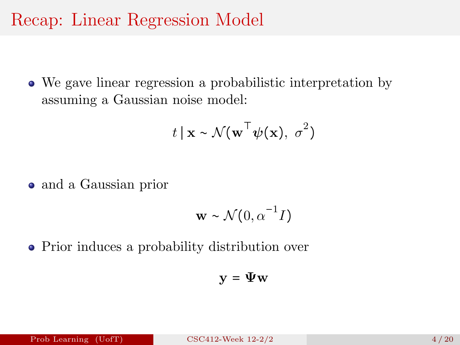### Recap: Linear Regression Model

We gave linear regression a probabilistic interpretation by assuming a Gaussian noise model:

$$
t \mid \mathbf{x} \sim \mathcal{N}(\mathbf{w}^\top \boldsymbol{\psi}(\mathbf{x}), \sigma^2)
$$

• and a Gaussian prior

$$
\mathbf{w} \sim \mathcal{N}(0, \alpha^{-1}I)
$$

• Prior induces a probability distribution over

$$
\mathbf{y} = \Psi \mathbf{w}
$$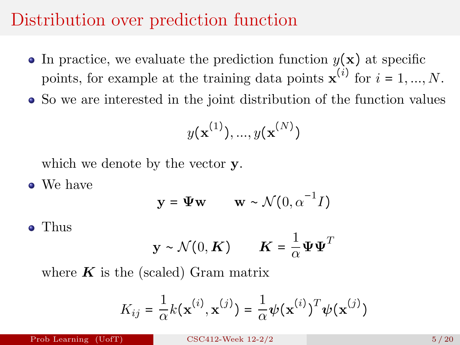## Distribution over prediction function

- In practice, we evaluate the prediction function  $y(\mathbf{x})$  at specific points, for example at the training data points  $\mathbf{x}^{(i)}$  for  $i = 1, ..., N$ .
- So we are interested in the joint distribution of the function values

$$
y(\mathbf{x}^{(1)}),...,y(\mathbf{x}^{(N)})
$$

which we denote by the vector **y**.

• We have

$$
\mathbf{y} = \mathbf{\Psi} \mathbf{w} \qquad \mathbf{w} \sim \mathcal{N}(0, \alpha^{-1} I)
$$

Thus

$$
\mathbf{y} \sim \mathcal{N}(0, \mathbf{K}) \qquad \mathbf{K} = \frac{1}{\alpha} \mathbf{\Psi} \mathbf{\Psi}^T
$$

where  $K$  is the (scaled) Gram matrix

$$
K_{ij} = \frac{1}{\alpha} k(\mathbf{x}^{(i)}, \mathbf{x}^{(j)}) = \frac{1}{\alpha} \boldsymbol{\psi}(\mathbf{x}^{(i)})^T \boldsymbol{\psi}(\mathbf{x}^{(j)})
$$

Prob Learning  $(UofT)$  [CSC412-Week 12-2/2](#page-0-0) 5/20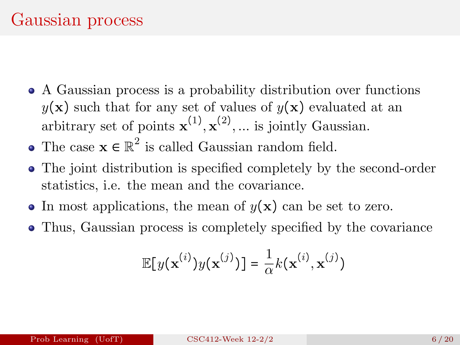- A Gaussian process is a probability distribution over functions  $y(\mathbf{x})$  such that for any set of values of  $y(\mathbf{x})$  evaluated at an arbitrary set of points  $\mathbf{x}^{(1)}, \mathbf{x}^{(2)}, \dots$  is jointly Gaussian.
- The case  $\mathbf{x} \in \mathbb{R}^2$  is called Gaussian random field.
- The joint distribution is specified completely by the second-order statistics, i.e. the mean and the covariance.
- In most applications, the mean of  $y(x)$  can be set to zero.
- Thus, Gaussian process is completely specified by the covariance

$$
\mathbb{E}[y(\mathbf{x}^{(i)})y(\mathbf{x}^{(j)})] = \frac{1}{\alpha}k(\mathbf{x}^{(i)}, \mathbf{x}^{(j)})
$$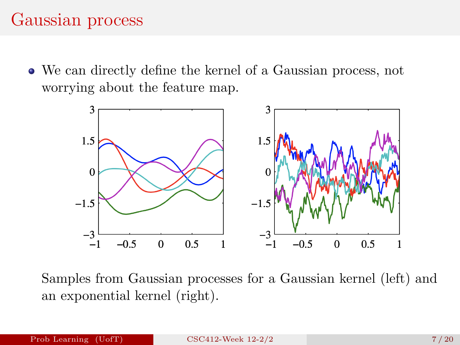## Gaussian process

We can directly define the kernel of a Gaussian process, not worrying about the feature map.



Samples from Gaussian processes for a Gaussian kernel (left) and an exponential kernel (right).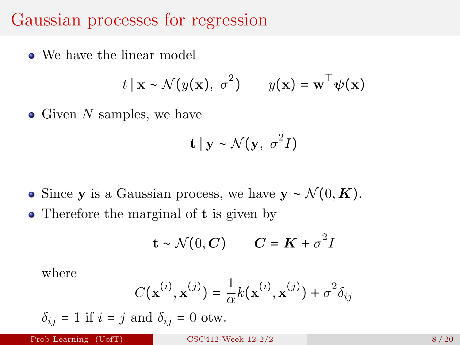#### Gaussian processes for regression

• We have the linear model

$$
t | \mathbf{x} \sim \mathcal{N}(y(\mathbf{x}), \sigma^2)
$$
  $y(\mathbf{x}) = \mathbf{w}^\top \psi(\mathbf{x})$ 

• Given  $N$  samples, we have

$$
\mathbf{t} \mid \mathbf{y} \sim \mathcal{N}(\mathbf{y}, \sigma^2 I)
$$

- Since y is a Gaussian process, we have  $y \sim \mathcal{N}(0, \mathbf{K})$ .
- Therefore the marginal of **t** is given by

$$
\mathbf{t} \sim \mathcal{N}(0, \mathbf{C}) \qquad \mathbf{C} = \mathbf{K} + \sigma^2 I
$$

where

$$
C(\mathbf{x}^{(i)}, \mathbf{x}^{(j)}) = \frac{1}{\alpha} k(\mathbf{x}^{(i)}, \mathbf{x}^{(j)}) + \sigma^2 \delta_{ij}
$$

 $\delta_{ij} = 1$  if  $i = j$  and  $\delta_{ij} = 0$  otw.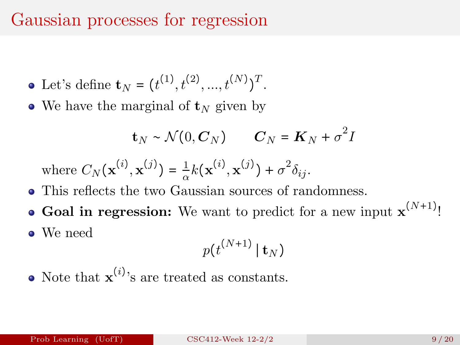## Gaussian processes for regression

- Let's define  $\mathbf{t}_N = (t^{(1)}, t^{(2)}, ..., t^{(N)})^T$ .
- We have the marginal of  $t_N$  given by

$$
\mathbf{t}_N \sim \mathcal{N}(0, \mathbf{C}_N) \qquad \mathbf{C}_N = \mathbf{K}_N + \sigma^2 I
$$

where  $C_N(\mathbf{x}^{(i)}, \mathbf{x}^{(j)}) = \frac{1}{\alpha}$  $\frac{1}{\alpha}k(\mathbf{x}^{(i)}, \mathbf{x}^{(j)}) + \sigma^2\delta_{ij}.$ 

- This reflects the two Gaussian sources of randomness.
- **Goal in regression:** We want to predict for a new input  $\mathbf{x}^{(N+1)}$ !
- We need

$$
p(t^{(N+1)} | \, \mathbf{t}_N)
$$

Note that  $\mathbf{x}^{(i)}$ 's are treated as constants.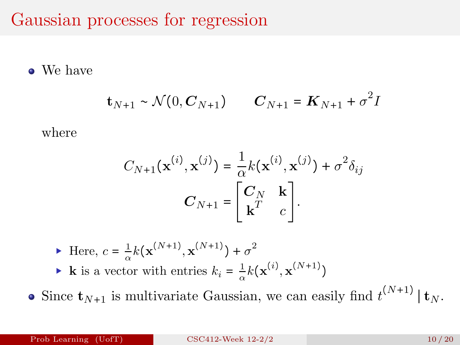Gaussian processes for regression

We have

$$
\mathbf{t}_{N+1} \sim \mathcal{N}(0, \mathbf{C}_{N+1}) \qquad \mathbf{C}_{N+1} = \mathbf{K}_{N+1} + \sigma^2 I
$$

where

$$
C_{N+1}(\mathbf{x}^{(i)}, \mathbf{x}^{(j)}) = \frac{1}{\alpha} k(\mathbf{x}^{(i)}, \mathbf{x}^{(j)}) + \sigma^2 \delta_{ij}
$$

$$
C_{N+1} = \begin{bmatrix} C_N & \mathbf{k} \\ \mathbf{k}^T & c \end{bmatrix}.
$$

- $\blacktriangleright$  Here,  $c = \frac{1}{2}$  $\frac{1}{\alpha}k(\mathbf{x}^{(N+1)}, \mathbf{x}^{(N+1)}) + \sigma^2$ ▶ **k** is a vector with entries  $k_i = \frac{1}{\alpha}$  $\frac{1}{\alpha}k(\mathbf{x}^{(i)},\mathbf{x}^{(N+1)})$
- Since  $\mathbf{t}_{N+1}$  is multivariate Gaussian, we can easily find  $t^{(N+1)} | \mathbf{t}_N$ .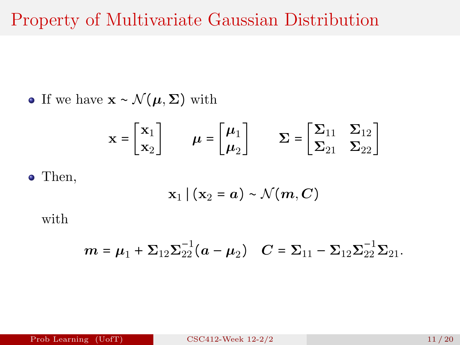#### Property of Multivariate Gaussian Distribution

• If we have  $\mathbf{x} \sim \mathcal{N}(\boldsymbol{\mu}, \boldsymbol{\Sigma})$  with

$$
\mathbf{x} = \begin{bmatrix} \mathbf{x}_1 \\ \mathbf{x}_2 \end{bmatrix} \qquad \boldsymbol{\mu} = \begin{bmatrix} \boldsymbol{\mu}_1 \\ \boldsymbol{\mu}_2 \end{bmatrix} \qquad \boldsymbol{\Sigma} = \begin{bmatrix} \boldsymbol{\Sigma}_{11} & \boldsymbol{\Sigma}_{12} \\ \boldsymbol{\Sigma}_{21} & \boldsymbol{\Sigma}_{22} \end{bmatrix}
$$

Then,

$$
\mathbf{x}_1 \,|\, (\mathbf{x}_2 = a) \sim \mathcal{N}(m, C)
$$

with

$$
\mathbf{m} = \boldsymbol{\mu}_1 + \boldsymbol{\Sigma}_{12} \boldsymbol{\Sigma}_{22}^{-1} (\boldsymbol{a} - \boldsymbol{\mu}_2) \quad \mathbf{C} = \boldsymbol{\Sigma}_{11} - \boldsymbol{\Sigma}_{12} \boldsymbol{\Sigma}_{22}^{-1} \boldsymbol{\Sigma}_{21}.
$$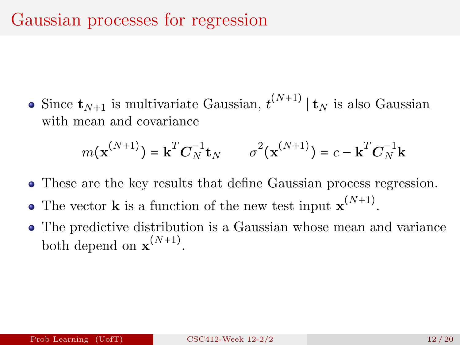Since  $\mathbf{t}_{N+1}$  is multivariate Gaussian,  $t^{(N+1)} | \mathbf{t}_N$  is also Gaussian with mean and covariance

$$
m(\mathbf{x}^{(N+1)}) = \mathbf{k}^T \mathbf{C}_N^{-1} \mathbf{t}_N \qquad \sigma^2(\mathbf{x}^{(N+1)}) = c - \mathbf{k}^T \mathbf{C}_N^{-1} \mathbf{k}
$$

- These are the key results that define Gaussian process regression.
- The vector **k** is a function of the new test input  $\mathbf{x}^{(N+1)}$ .
- The predictive distribution is a Gaussian whose mean and variance both depend on  $\mathbf{x}^{(N+1)}$ .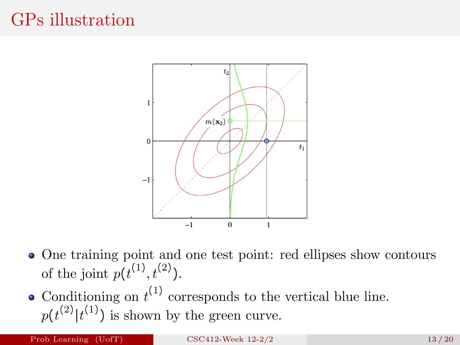## GPs illustration



- One training point and one test point: red ellipses show contours of the joint  $p(t^{(1)}, t^{(2)})$ .
- Conditioning on  $t^{(1)}$  corresponds to the vertical blue line.  $p(t^{(2)}|t^{(1)})$  is shown by the green curve.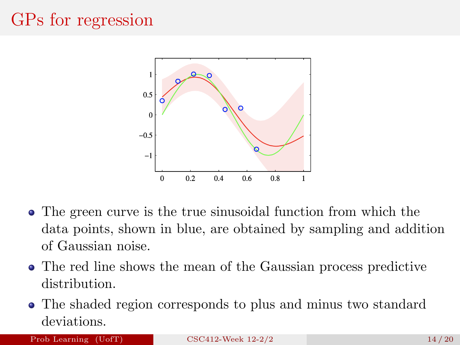## GPs for regression



- The green curve is the true sinusoidal function from which the data points, shown in blue, are obtained by sampling and addition of Gaussian noise.
- The red line shows the mean of the Gaussian process predictive distribution.
- The shaded region corresponds to plus and minus two standard deviations.

#### Prob Learning  $(UofT)$  [CSC412-Week 12-2/2](#page-0-0) 14 / 20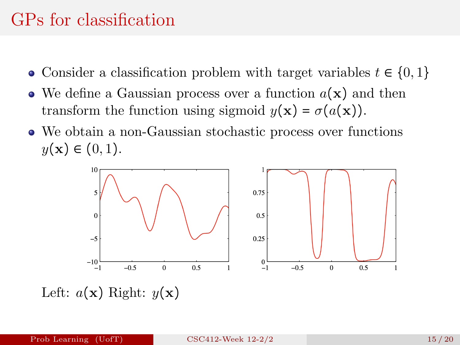### GPs for classification

- Consider a classification problem with target variables  $t \in \{0, 1\}$
- We define a Gaussian process over a function  $a(\mathbf{x})$  and then transform the function using sigmoid  $y(\mathbf{x}) = \sigma(a(\mathbf{x}))$ .
- We obtain a non-Gaussian stochastic process over functions  $y(x) \in (0,1)$ .



Left:  $a(\mathbf{x})$  Right:  $y(\mathbf{x})$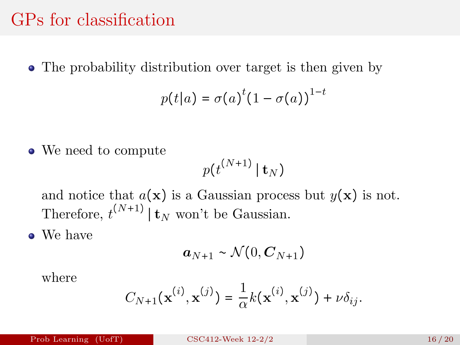#### GPs for classification

The probability distribution over target is then given by

$$
p(t|a) = \sigma(a)^t (1 - \sigma(a))^{1-t}
$$

• We need to compute

$$
p(t^{(N+1)}\,|\,{\bf t}_N)
$$

and notice that  $a(\mathbf{x})$  is a Gaussian process but  $y(\mathbf{x})$  is not. Therefore,  $t^{(N+1)} | t_N$  won't be Gaussian.

• We have

$$
\boldsymbol{a}_{N+1} \sim \mathcal{N}(0, \boldsymbol{C}_{N+1})
$$

where

$$
C_{N+1}({\bf x}^{(i)}, {\bf x}^{(j)}) = \frac{1}{\alpha}k({\bf x}^{(i)},{\bf x}^{(j)}) + \nu \delta_{ij}.
$$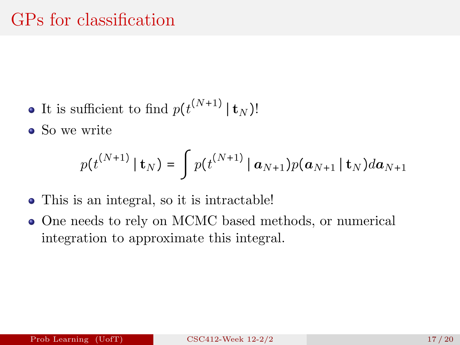- It is sufficient to find  $p(t^{(N+1)} | t_N)$ !
- So we write

$$
p(t^{(N+1)} | \mathbf{t}_N) = \int p(t^{(N+1)} | \mathbf{a}_{N+1}) p(\mathbf{a}_{N+1} | \mathbf{t}_N) d\mathbf{a}_{N+1}
$$

- This is an integral, so it is intractable!
- One needs to rely on MCMC based methods, or numerical integration to approximate this integral.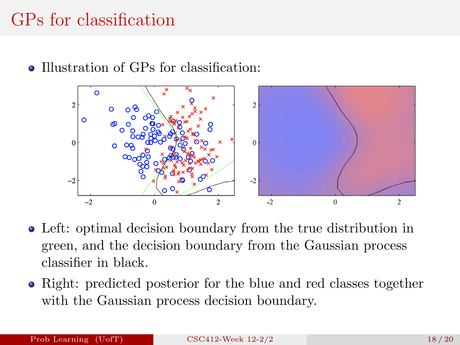## GPs for classification

• Illustration of GPs for classification:



- Left: optimal decision boundary from the true distribution in green, and the decision boundary from the Gaussian process classifier in black.
- Right: predicted posterior for the blue and red classes together with the Gaussian process decision boundary.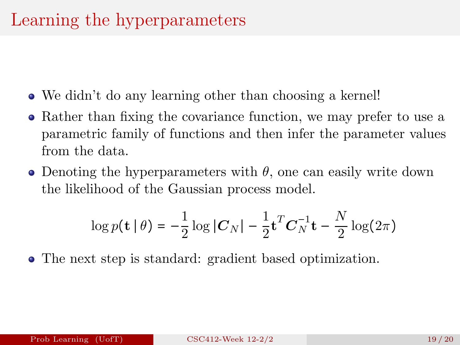- We didn't do any learning other than choosing a kernel!
- Rather than fixing the covariance function, we may prefer to use a parametric family of functions and then infer the parameter values from the data.
- Denoting the hyperparameters with  $\theta$ , one can easily write down the likelihood of the Gaussian process model.

$$
\log p(\mathbf{t} \mid \theta) = -\frac{1}{2} \log |\mathbf{C}_N| - \frac{1}{2} \mathbf{t}^T \mathbf{C}_N^{-1} \mathbf{t} - \frac{N}{2} \log(2\pi)
$$

The next step is standard: gradient based optimization.